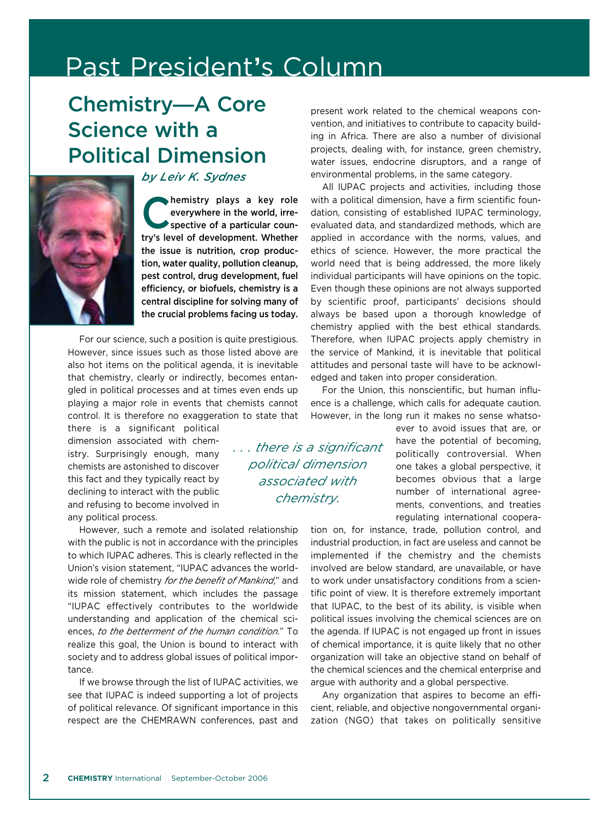## Past President**'**s Column

## Chemistry**—**A Core Science with a Political Dimension



*by Leiv K. Sydnes*

hemistry plays a key role<br>
everywhere in the world, irre-<br>
spective of a particular couneverywhere in the world, irretry**'**s level of development. Whether the issue is nutrition, crop production, water quality, pollution cleanup, pest control, drug development, fuel efficiency, or biofuels, chemistry is a central discipline for solving many of the crucial problems facing us today.

For our science, such a position is quite prestigious. However, since issues such as those listed above are also hot items on the political agenda, it is inevitable that chemistry, clearly or indirectly, becomes entangled in political processes and at times even ends up playing a major role in events that chemists cannot control. It is therefore no exaggeration to state that

there is a significant political dimension associated with chemistry. Surprisingly enough, many chemists are astonished to discover this fact and they typically react by declining to interact with the public and refusing to become involved in any political process.

However, such a remote and isolated relationship with the public is not in accordance with the principles to which IUPAC adheres. This is clearly reflected in the Union's vision statement, "IUPAC advances the worldwide role of chemistry *for the benefit of Mankind*," and its mission statement, which includes the passage "IUPAC effectively contributes to the worldwide understanding and application of the chemical sciences, *to the betterment of the human condition*." To realize this goal, the Union is bound to interact with society and to address global issues of political importance.

If we browse through the list of IUPAC activities, we see that IUPAC is indeed supporting a lot of projects of political relevance. Of significant importance in this respect are the CHEMRAWN conferences, past and

present work related to the chemical weapons convention, and initiatives to contribute to capacity building in Africa. There are also a number of divisional projects, dealing with, for instance, green chemistry, water issues, endocrine disruptors, and a range of environmental problems, in the same category.

All IUPAC projects and activities, including those with a political dimension, have a firm scientific foundation, consisting of established IUPAC terminology, evaluated data, and standardized methods, which are applied in accordance with the norms, values, and ethics of science. However, the more practical the world need that is being addressed, the more likely individual participants will have opinions on the topic. Even though these opinions are not always supported by scientific proof, participants' decisions should always be based upon a thorough knowledge of chemistry applied with the best ethical standards. Therefore, when IUPAC projects apply chemistry in the service of Mankind, it is inevitable that political attitudes and personal taste will have to be acknowledged and taken into proper consideration.

For the Union, this nonscientific, but human influence is a challenge, which calls for adequate caution. However, in the long run it makes no sense whatso-

*. . . there is a significant political dimension associated with chemistry.*

ever to avoid issues that are, or have the potential of becoming, politically controversial. When one takes a global perspective, it becomes obvious that a large number of international agreements, conventions, and treaties regulating international coopera-

tion on, for instance, trade, pollution control, and industrial production, in fact are useless and cannot be implemented if the chemistry and the chemists involved are below standard, are unavailable, or have to work under unsatisfactory conditions from a scientific point of view. It is therefore extremely important that IUPAC, to the best of its ability, is visible when political issues involving the chemical sciences are on the agenda. If IUPAC is not engaged up front in issues of chemical importance, it is quite likely that no other organization will take an objective stand on behalf of the chemical sciences and the chemical enterprise and argue with authority and a global perspective.

Any organization that aspires to become an efficient, reliable, and objective nongovernmental organization (NGO) that takes on politically sensitive